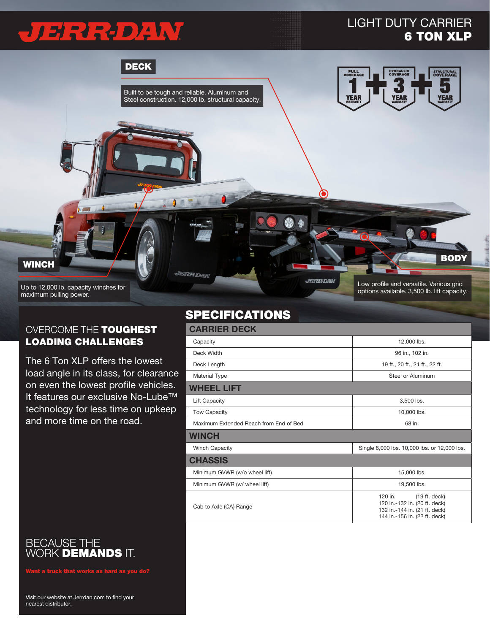# JERRO XW

## LIGHT DUTY CARRIER 6 TON XLP

DECK Built to be tough and reliable. Aluminum and **YEA** Steel construction. 12,000 lb. structural capacity. **BODY WINCH** JERR-DAN **JERR-DAN** Low profile and versatile. Various grid Up to 12,000 lb. capacity winches for options available. 3,500 lb. lift capacity.

maximum pulling power.

#### OVERCOME THE TOUGHEST LOADING CHALLENGES

The 6 Ton XLP offers the lowest load angle in its class, for clearance on even the lowest profile vehicles. It features our exclusive No-Lube™ technology for less time on upkeep and more time on the road.

BECAUSE THE WORK **DEMANDS** IT.

 $\boldsymbol{\mathsf{int}}$  a truck that works as hard as you do?

### SPECIFICATIONS

#### CARRIER DECK Capacity 12,000 lbs. Deck Width 96 in., 102 in. Deck Length 19 ft., 20 ft., 22 ft. 22 ft. Material Type **Steel or Aluminum** Steel or Aluminum WHEEL LIFT Lift Capacity 3,500 lbs. Tow Capacity **10,000 lbs.** The United States of the United States of the United States of the United States of the United States of the United States of the United States of the United States of the United States of the Un Maximum Extended Reach from End of Bed 68 in. **WINCH** Winch Capacity **Single 8,000 lbs. 10,000 lbs. or 12,000 lbs.** or 12,000 lbs. **CHASSIS** Minimum GVWR (w/o wheel lift) 15,000 lbs. Minimum GVWR (w/ wheel lift) 19,500 lbs. Cab to Axle (CA) Range 120 in. (19 ft. deck) 120 in.-132 in. (20 ft. deck) 132 in.-144 in. (21 ft. deck) 144 in.-156 in. (22 ft. deck)